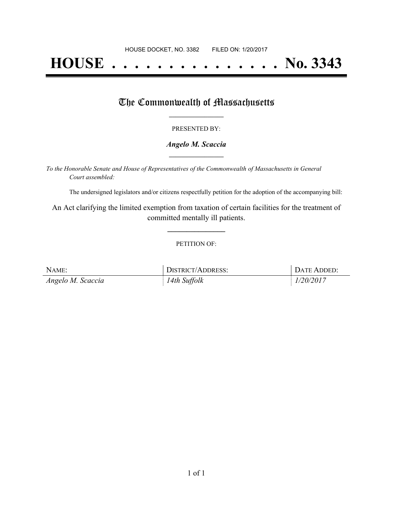# **HOUSE . . . . . . . . . . . . . . . No. 3343**

## The Commonwealth of Massachusetts

#### PRESENTED BY:

#### *Angelo M. Scaccia* **\_\_\_\_\_\_\_\_\_\_\_\_\_\_\_\_\_**

*To the Honorable Senate and House of Representatives of the Commonwealth of Massachusetts in General Court assembled:*

The undersigned legislators and/or citizens respectfully petition for the adoption of the accompanying bill:

An Act clarifying the limited exemption from taxation of certain facilities for the treatment of committed mentally ill patients.

**\_\_\_\_\_\_\_\_\_\_\_\_\_\_\_**

#### PETITION OF:

| NAME:             | <b>DISTRICT/ADDRESS:</b> | DATE ADDED: |
|-------------------|--------------------------|-------------|
| Angelo M. Scaccia | 14th Suffolk             | 1/20/2017   |